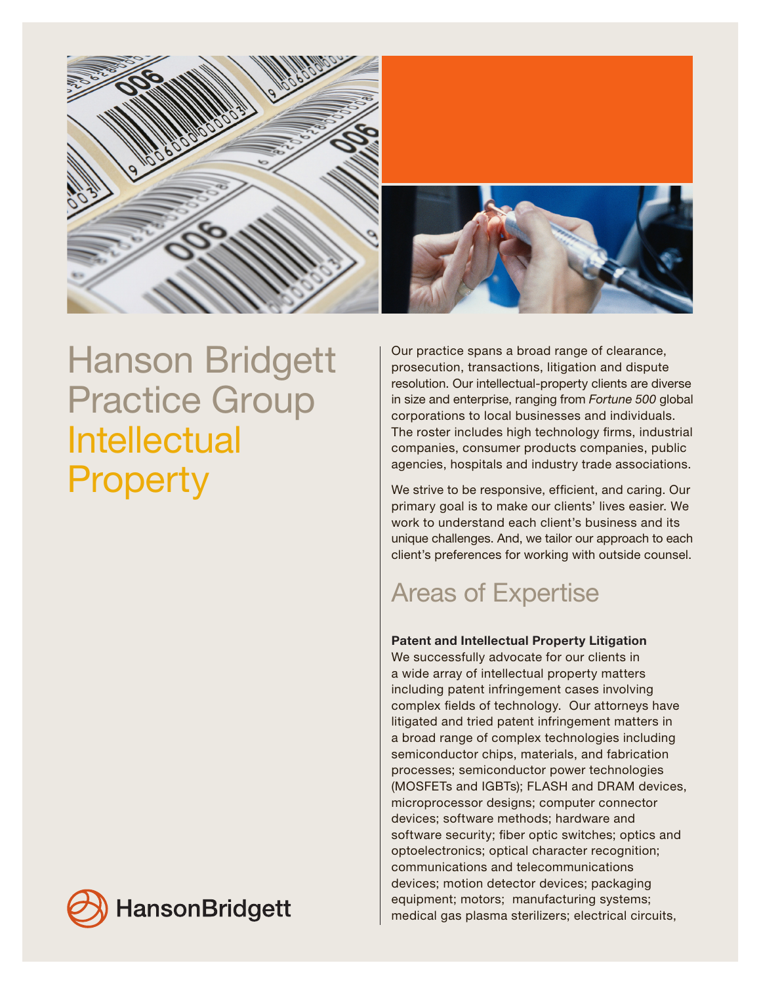

# Hanson Bridgett Practice Group Intellectual **Property**

Our practice spans a broad range of clearance, prosecution, transactions, litigation and dispute resolution. Our intellectual-property clients are diverse in size and enterprise, ranging from *Fortune 500* global corporations to local businesses and individuals. The roster includes high technology firms, industrial companies, consumer products companies, public agencies, hospitals and industry trade associations.

We strive to be responsive, efficient, and caring. Our primary goal is to make our clients' lives easier. We work to understand each client's business and its unique challenges. And, we tailor our approach to each client's preferences for working with outside counsel.

## Areas of Expertise

### Patent and Intellectual Property Litigation

We successfully advocate for our clients in a wide array of intellectual property matters including patent infringement cases involving complex fields of technology. Our attorneys have litigated and tried patent infringement matters in a broad range of complex technologies including semiconductor chips, materials, and fabrication processes; semiconductor power technologies (MOSFETs and IGBTs); FLASH and DRAM devices, microprocessor designs; computer connector devices; software methods; hardware and software security; fiber optic switches; optics and optoelectronics; optical character recognition; communications and telecommunications devices; motion detector devices; packaging equipment; motors; manufacturing systems; medical gas plasma sterilizers; electrical circuits,